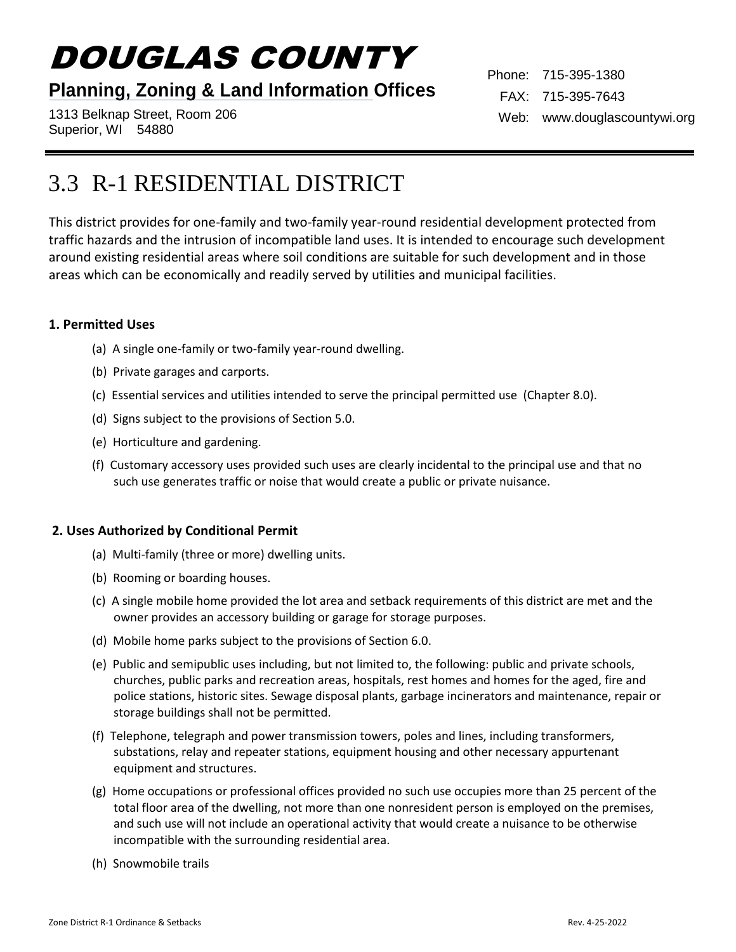# DOUGLAS COUNTY

**Planning, Zoning & Land Information Offices**

Phone: 715-395-1380 FAX: 715-395-7643 Web: www.douglascountywi.org

1313 Belknap Street, Room 206 Superior, WI 54880

# 3.3 R-1 RESIDENTIAL DISTRICT

This district provides for one-family and two-family year-round residential development protected from traffic hazards and the intrusion of incompatible land uses. It is intended to encourage such development around existing residential areas where soil conditions are suitable for such development and in those areas which can be economically and readily served by utilities and municipal facilities.

# **1. Permitted Uses**

- (a) A single one-family or two-family year-round dwelling.
- (b) Private garages and carports.
- (c) Essential services and utilities intended to serve the principal permitted use (Chapter 8.0).
- (d) Signs subject to the provisions of Section 5.0.
- (e) Horticulture and gardening.
- (f) Customary accessory uses provided such uses are clearly incidental to the principal use and that no such use generates traffic or noise that would create a public or private nuisance.

# **2. Uses Authorized by Conditional Permit**

- (a) Multi-family (three or more) dwelling units.
- (b) Rooming or boarding houses.
- (c) A single mobile home provided the lot area and setback requirements of this district are met and the owner provides an accessory building or garage for storage purposes.
- (d) Mobile home parks subject to the provisions of Section 6.0.
- (e) Public and semipublic uses including, but not limited to, the following: public and private schools, churches, public parks and recreation areas, hospitals, rest homes and homes for the aged, fire and police stations, historic sites. Sewage disposal plants, garbage incinerators and maintenance, repair or storage buildings shall not be permitted.
- (f) Telephone, telegraph and power transmission towers, poles and lines, including transformers, substations, relay and repeater stations, equipment housing and other necessary appurtenant equipment and structures.
- (g) Home occupations or professional offices provided no such use occupies more than 25 percent of the total floor area of the dwelling, not more than one nonresident person is employed on the premises, and such use will not include an operational activity that would create a nuisance to be otherwise incompatible with the surrounding residential area.
- (h) Snowmobile trails